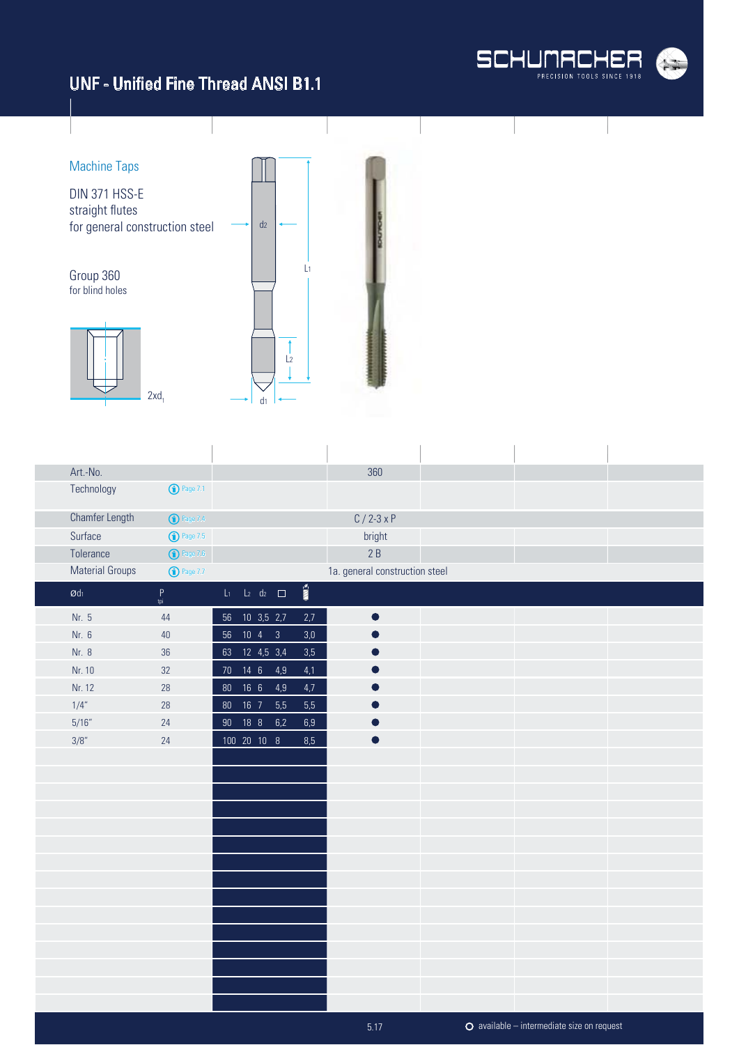

available – intermediate size on request

# UNF - Unified Fine Thread ANSI B1.1



| Art.-No.               |                       |                          |     |                          | 360                            |  |  |
|------------------------|-----------------------|--------------------------|-----|--------------------------|--------------------------------|--|--|
| Technology             | <sup>1</sup> Page 7.1 |                          |     |                          |                                |  |  |
| Chamfer Length         | <b>1</b> Page 7.4     |                          |     |                          | $C / 2 - 3x P$                 |  |  |
| Surface                | <b>1</b> Page 7.5     |                          |     |                          | bright                         |  |  |
| Tolerance              | $\bigodot$ Page 7.6   |                          |     |                          | 2B                             |  |  |
| <b>Material Groups</b> | <b>1</b> Page 7.7     |                          |     |                          | 1a. general construction steel |  |  |
| $\emptyset$ dı         | $P$ <sub>tpi</sub>    | $L_1$ $L_2$ $d_2$ $\Box$ |     | $\overline{\text{nm}}$ s |                                |  |  |
| Nr. 5                  | 44                    | 56 10 3,5 2,7            |     | 2,7                      | $\bullet$                      |  |  |
| Nr. 6                  | $40\,$                | 56 10 4 3                |     | 3,0                      |                                |  |  |
| Nr. 8                  | 36                    | 63 12 4,5 3,4            |     | 3,5                      |                                |  |  |
| Nr. 10                 | 32                    | 70  14  6  4,9           |     | 4,1                      |                                |  |  |
| Nr. 12                 | 28                    | 80  16  6  4,9           |     | 4,7                      |                                |  |  |
| 1/4"                   | 28                    | 80  16  7                | 5,5 | 5,5                      |                                |  |  |
| 5/16''                 | 24                    | 90 18 8                  | 6,2 | $6,9$                    |                                |  |  |
| 3/8"                   | 24                    | 100 20 10 8              |     | 8,5                      | $\bullet$                      |  |  |
|                        |                       |                          |     |                          |                                |  |  |
|                        |                       |                          |     |                          |                                |  |  |
|                        |                       |                          |     |                          |                                |  |  |
|                        |                       |                          |     |                          |                                |  |  |
|                        |                       |                          |     |                          |                                |  |  |
|                        |                       |                          |     |                          |                                |  |  |
|                        |                       |                          |     |                          |                                |  |  |
|                        |                       |                          |     |                          |                                |  |  |
|                        |                       |                          |     |                          |                                |  |  |
|                        |                       |                          |     |                          |                                |  |  |
|                        |                       |                          |     |                          |                                |  |  |
|                        |                       |                          |     |                          |                                |  |  |
|                        |                       |                          |     |                          |                                |  |  |
|                        |                       |                          |     |                          |                                |  |  |
|                        |                       |                          |     |                          |                                |  |  |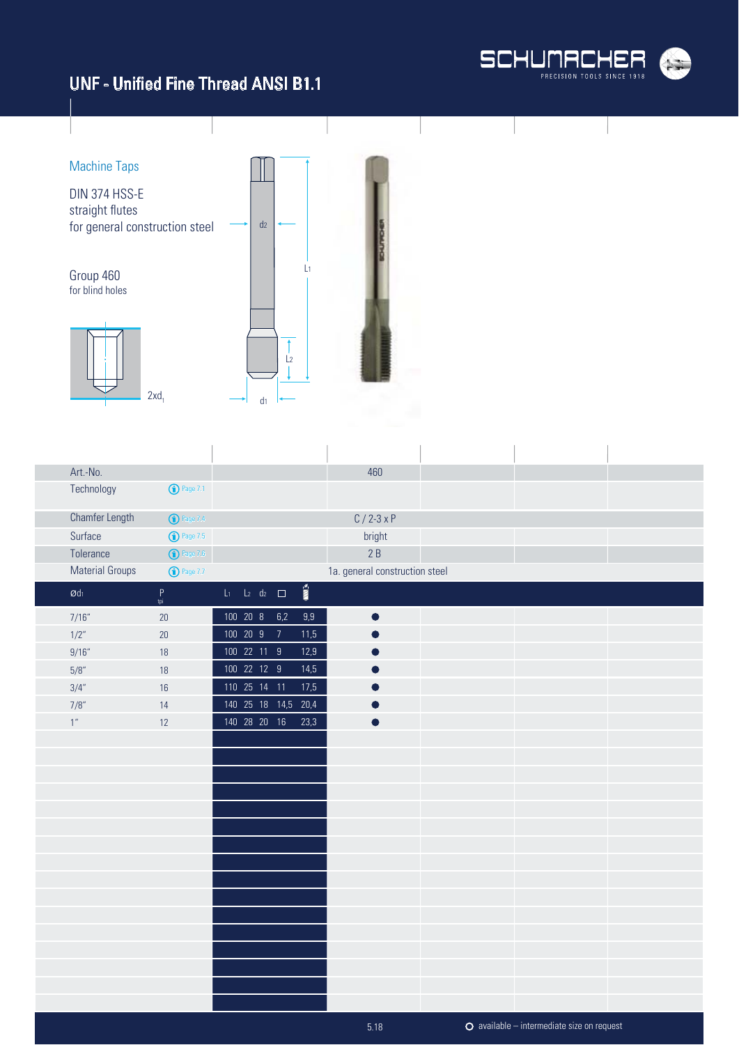



| Art.-No.                      |                     |             |                             |                                 | 460                            |  |  |
|-------------------------------|---------------------|-------------|-----------------------------|---------------------------------|--------------------------------|--|--|
| Technology                    | <b>D</b> Page 7.1   |             |                             |                                 |                                |  |  |
| <b>Chamfer Length</b>         | $\bigodot$ Page 7.4 |             |                             |                                 | $C / 2 - 3x P$                 |  |  |
| Surface                       | <b>1</b> Page 7.5   |             |                             |                                 | bright                         |  |  |
| Tolerance                     | $\bigodot$ Page 7.6 |             |                             |                                 | 2B                             |  |  |
| <b>Material Groups</b>        | $\bigodot$ Page 7.7 |             |                             |                                 | 1a. general construction steel |  |  |
| $\boldsymbol{\mathcal{O}}$ dı | $P$ <sub>tpi</sub>  |             | $L_1$ $L_2$ $d_2$ $\square$ | $\overline{\mathbb{M}}^{\circ}$ |                                |  |  |
| 7/16''                        | $20\,$              |             | 100 20 8 6,2                | $9,9$                           | $\bullet$                      |  |  |
| 1/2"                          | $20\,$              | 100 20 9    | $\overline{7}$              | 11,5                            |                                |  |  |
| 9/16''                        | 18                  | 100 22 11 9 |                             | 12,9                            |                                |  |  |
| 5/8"                          | 18                  | 100 22 12 9 |                             | 14,5                            |                                |  |  |
| 3/4"                          | 16                  |             | 110 25 14 11                | 17,5                            |                                |  |  |
| 7/8"                          | 14                  |             |                             | 140  25  18  14,5  20,4         |                                |  |  |
| $1^{\prime\prime}$            | 12                  |             | 140 28 20 16                | 23,3                            |                                |  |  |
|                               |                     |             |                             |                                 |                                |  |  |
|                               |                     |             |                             |                                 |                                |  |  |
|                               |                     |             |                             |                                 |                                |  |  |
|                               |                     |             |                             |                                 |                                |  |  |
|                               |                     |             |                             |                                 |                                |  |  |
|                               |                     |             |                             |                                 |                                |  |  |
|                               |                     |             |                             |                                 |                                |  |  |
|                               |                     |             |                             |                                 |                                |  |  |
|                               |                     |             |                             |                                 |                                |  |  |
|                               |                     |             |                             |                                 |                                |  |  |
|                               |                     |             |                             |                                 |                                |  |  |
|                               |                     |             |                             |                                 |                                |  |  |
|                               |                     |             |                             |                                 |                                |  |  |
|                               |                     |             |                             |                                 |                                |  |  |
|                               |                     |             |                             |                                 |                                |  |  |
|                               |                     |             |                             |                                 |                                |  |  |

5.18

available – intermediate size on request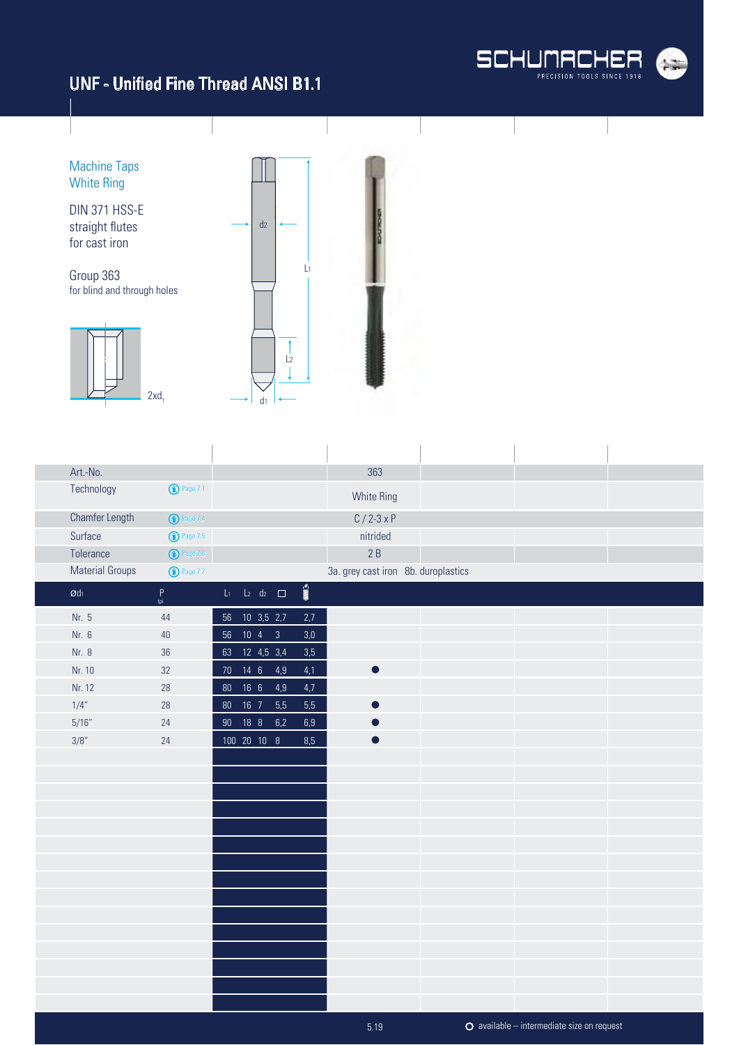

available – intermediate size on request

Machine Taps White Ring

DIN 371 HSS-E straight flutes for cast iron

Group 363 for blind and through holes





l.

| Art.-No.                   |                     |        |                          |     |                          | 363                                 |  |  |
|----------------------------|---------------------|--------|--------------------------|-----|--------------------------|-------------------------------------|--|--|
| Technology                 | <b>1</b> Page 7.1   |        |                          |     |                          | White Ring                          |  |  |
| <b>Chamfer Length</b>      | $\bigodot$ Page 7.4 |        |                          |     |                          | $C / 2 - 3xP$                       |  |  |
| Surface                    | $\bigodot$ Page 7.5 |        |                          |     |                          | nitrided                            |  |  |
| Tolerance                  | $\bigodot$ Page 7.6 |        |                          |     |                          | 2B                                  |  |  |
| <b>Material Groups</b>     | $\bigodot$ Page 7.7 |        |                          |     |                          | 3a. grey cast iron 8b. duroplastics |  |  |
| $\boldsymbol{\text{O}}$ dı | $P$ <sub>tpi</sub>  |        | $L_1$ $L_2$ $d_2$ $\Box$ |     | $\overline{\text{nm}}$ » |                                     |  |  |
| Nr. 5                      | 44                  | 56     | $10$ 3,5 2,7             |     | 2,7                      |                                     |  |  |
| Nr. 6                      | 40                  | 56     | $10 \quad 4 \qquad 3$    |     | $3,0$                    |                                     |  |  |
| Nr. 8                      | 36                  |        | 63 12 4,5 3,4            |     | 3,5                      |                                     |  |  |
| Nr. 10                     | 32                  |        | 70  14  6  4,9           |     | 4,1                      | $\blacksquare$                      |  |  |
| Nr. 12                     | 28                  | $80\,$ | $\overline{16}$ 6        | 4,9 | 4,7                      |                                     |  |  |
| 1/4"                       | 28                  | $80\,$ | $16$ 7                   | 5,5 | $5,5$                    |                                     |  |  |
| 5/16''                     | 24                  | $90\,$ | 18 8 6,2                 |     | $6,9\,$                  |                                     |  |  |
| 3/8"                       | 24                  |        | 100 20 10 8              |     | 8,5                      | $\bullet$                           |  |  |
|                            |                     |        |                          |     |                          |                                     |  |  |
|                            |                     |        |                          |     |                          |                                     |  |  |
|                            |                     |        |                          |     |                          |                                     |  |  |
|                            |                     |        |                          |     |                          |                                     |  |  |
|                            |                     |        |                          |     |                          |                                     |  |  |
|                            |                     |        |                          |     |                          |                                     |  |  |
|                            |                     |        |                          |     |                          |                                     |  |  |
|                            |                     |        |                          |     |                          |                                     |  |  |
|                            |                     |        |                          |     |                          |                                     |  |  |
|                            |                     |        |                          |     |                          |                                     |  |  |
|                            |                     |        |                          |     |                          |                                     |  |  |
|                            |                     |        |                          |     |                          |                                     |  |  |
|                            |                     |        |                          |     |                          |                                     |  |  |
|                            |                     |        |                          |     |                          |                                     |  |  |
|                            |                     |        |                          |     |                          |                                     |  |  |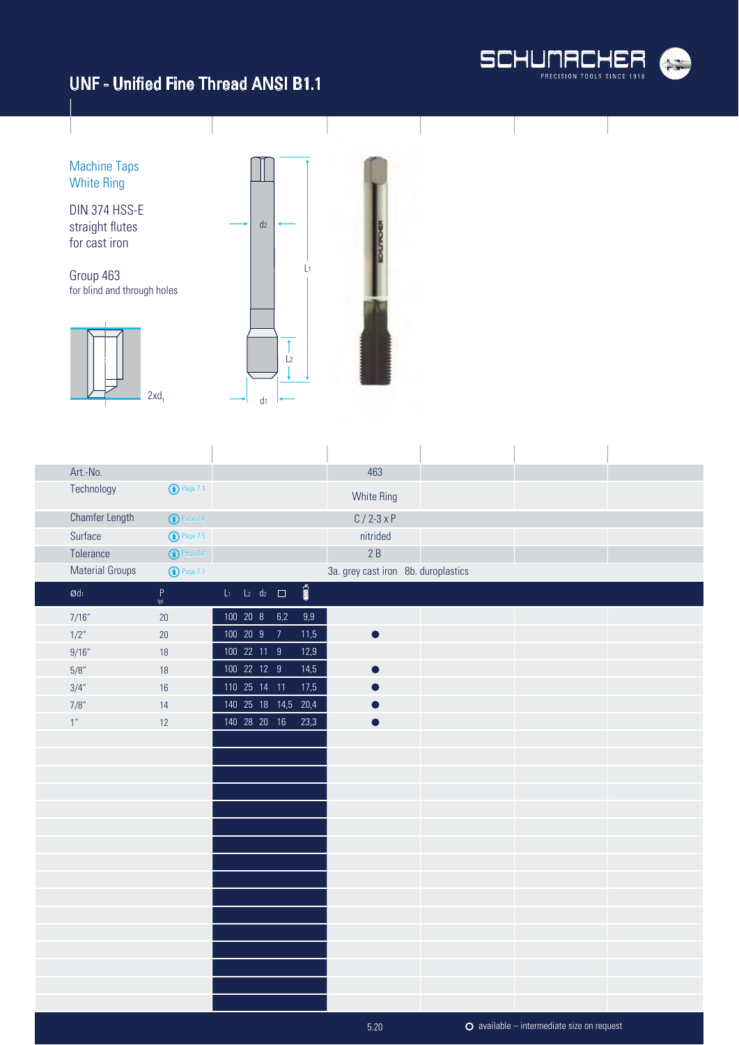

Machine Taps White Ring DIN 374 HSS-E straight flutes  $d<sub>2</sub>$ for cast iron L1 Group 463 for blind and through holes  $\uparrow$  $\frac{1}{2}$ I  $2xd_1$  $\mathsf{d}_1$ 

| Art.-No.                      |                     |                             |                          | 463                                 |  |  |
|-------------------------------|---------------------|-----------------------------|--------------------------|-------------------------------------|--|--|
| Technology                    | $\bigodot$ Page 7.1 |                             |                          | White Ring                          |  |  |
| <b>Chamfer Length</b>         | $\bigodot$ Page 7.4 |                             |                          | $C / 2 - 3x P$                      |  |  |
| Surface                       | $\bigodot$ Page 7.5 |                             |                          | nitrided                            |  |  |
| Tolerance                     | $\bigodot$ Page 7.6 |                             |                          | 2B                                  |  |  |
| <b>Material Groups</b>        | $\bigodot$ Page 7.7 |                             |                          | 3a. grey cast iron 8b. duroplastics |  |  |
| $\boldsymbol{\mathcal{O}}$ dı | $P$ <sub>tpi</sub>  | $L_1$ $L_2$ $d_2$ $\square$ | $\overline{\text{nm}}$ s |                                     |  |  |
| 7/16''                        | 20                  | 100 20 8                    | 6,2<br>9,9               |                                     |  |  |
| 1/2"                          | 20                  | 100 20 9 7                  | 11,5                     |                                     |  |  |
| 9/16''                        | 18                  | 100 22 11 9                 | 12,9                     |                                     |  |  |
| 5/8''                         | 18                  | 100 22 12 9                 | 14,5                     |                                     |  |  |
| 3/4"                          | 16                  | 110 25 14 11                | 17,5                     |                                     |  |  |
| 7/8"                          | 14                  | 140  25  18  14,5  20,4     |                          |                                     |  |  |
| $1''$                         | 12                  | 140  28  20  16             | 23,3                     |                                     |  |  |
|                               |                     |                             |                          |                                     |  |  |
|                               |                     |                             |                          |                                     |  |  |
|                               |                     |                             |                          |                                     |  |  |
|                               |                     |                             |                          |                                     |  |  |
|                               |                     |                             |                          |                                     |  |  |
|                               |                     |                             |                          |                                     |  |  |
|                               |                     |                             |                          |                                     |  |  |
|                               |                     |                             |                          |                                     |  |  |
|                               |                     |                             |                          |                                     |  |  |
|                               |                     |                             |                          |                                     |  |  |
|                               |                     |                             |                          |                                     |  |  |
|                               |                     |                             |                          |                                     |  |  |
|                               |                     |                             |                          |                                     |  |  |
|                               |                     |                             |                          |                                     |  |  |
|                               |                     |                             |                          |                                     |  |  |
|                               |                     |                             |                          |                                     |  |  |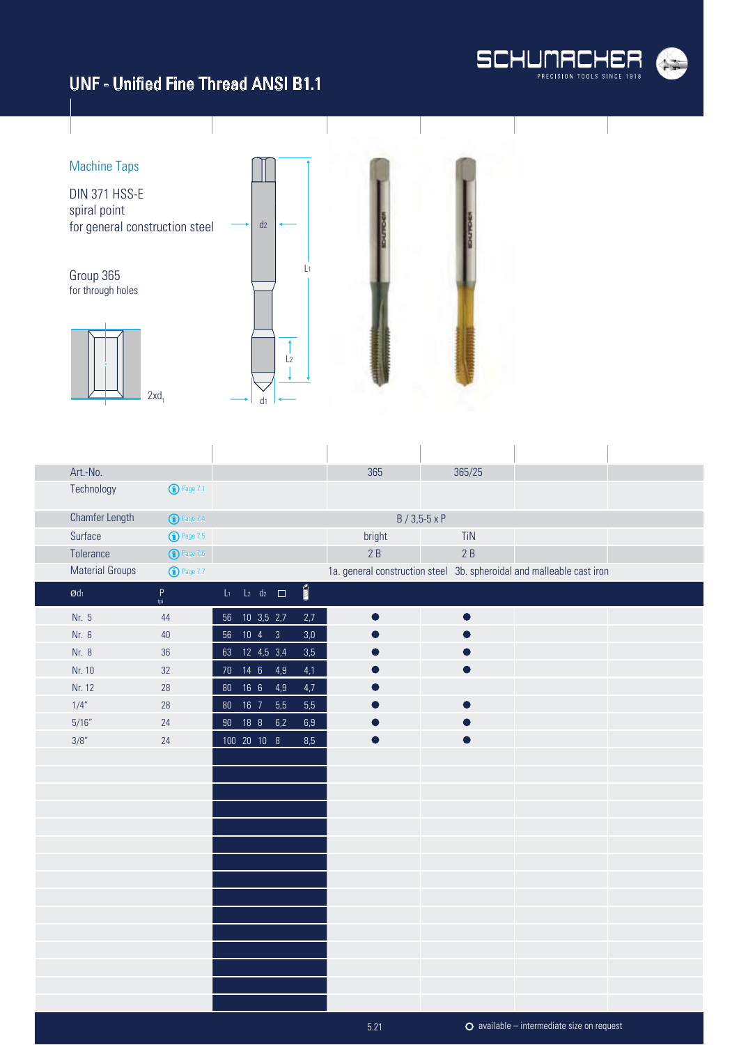

available – intermediate size on request

# UNF - Unified Fine Thread ANSI B1.1



 $\overline{1}$ 

| Art.-No.                   |                                                            |                 |                          |     |                       | 365    | 365/25               |                                                                       |  |
|----------------------------|------------------------------------------------------------|-----------------|--------------------------|-----|-----------------------|--------|----------------------|-----------------------------------------------------------------------|--|
| Technology                 | <b>1</b> Page 7.1                                          |                 |                          |     |                       |        |                      |                                                                       |  |
| <b>Chamfer Length</b>      | <b>1</b> Page 7.4                                          |                 |                          |     |                       |        | $B / 3,5-5 \times P$ |                                                                       |  |
| Surface                    | <b>1</b> Page 7.5                                          |                 |                          |     |                       | bright | <b>TiN</b>           |                                                                       |  |
| Tolerance                  | $\bigodot$ Page 7.6                                        |                 |                          |     |                       | 2B     | 2B                   |                                                                       |  |
| <b>Material Groups</b>     | <b>1</b> Page 7.7                                          |                 |                          |     |                       |        |                      | 1a. general construction steel 3b. spheroidal and malleable cast iron |  |
| $\boldsymbol{\text{O}}$ dı | $\mathsf{P}% _{0}\left( \mathsf{P}_{0}\right) ^{T}$<br>tpi |                 | $L_1$ $L_2$ $d_2$ $\Box$ |     | $\sum_{i=1}^{\infty}$ |        |                      |                                                                       |  |
| Nr. 5                      | 44                                                         |                 | 56 10 3,5 2,7            |     | 2,7                   |        |                      |                                                                       |  |
| Nr. 6                      | 40                                                         |                 | 56 10 4 3                |     | 3,0                   |        |                      |                                                                       |  |
| Nr. 8                      | $36\,$                                                     |                 | 63 12 4,5 3,4            |     | 3,5                   |        |                      |                                                                       |  |
| Nr. 10                     | 32                                                         | 70 <sub>2</sub> | $14 \quad 6$             | 4,9 | 4,1                   |        |                      |                                                                       |  |
| Nr. 12                     | 28                                                         |                 | 80  16  6                | 4,9 | 4,7                   |        |                      |                                                                       |  |
| 1/4"                       | 28                                                         | 80 <sup>°</sup> | $16$ 7                   | 5,5 | 5,5                   |        |                      |                                                                       |  |
| 5/16''                     | 24                                                         | $90\,$          | 18 8 6,2                 |     | $6,9$                 |        |                      |                                                                       |  |
| 3/8"                       | 24                                                         |                 | 100 20 10 8              |     | $8,5$                 |        |                      |                                                                       |  |
|                            |                                                            |                 |                          |     |                       |        |                      |                                                                       |  |
|                            |                                                            |                 |                          |     |                       |        |                      |                                                                       |  |
|                            |                                                            |                 |                          |     |                       |        |                      |                                                                       |  |
|                            |                                                            |                 |                          |     |                       |        |                      |                                                                       |  |
|                            |                                                            |                 |                          |     |                       |        |                      |                                                                       |  |
|                            |                                                            |                 |                          |     |                       |        |                      |                                                                       |  |
|                            |                                                            |                 |                          |     |                       |        |                      |                                                                       |  |
|                            |                                                            |                 |                          |     |                       |        |                      |                                                                       |  |
|                            |                                                            |                 |                          |     |                       |        |                      |                                                                       |  |
|                            |                                                            |                 |                          |     |                       |        |                      |                                                                       |  |
|                            |                                                            |                 |                          |     |                       |        |                      |                                                                       |  |
|                            |                                                            |                 |                          |     |                       |        |                      |                                                                       |  |
|                            |                                                            |                 |                          |     |                       |        |                      |                                                                       |  |
|                            |                                                            |                 |                          |     |                       |        |                      |                                                                       |  |
|                            |                                                            |                 |                          |     |                       |        |                      |                                                                       |  |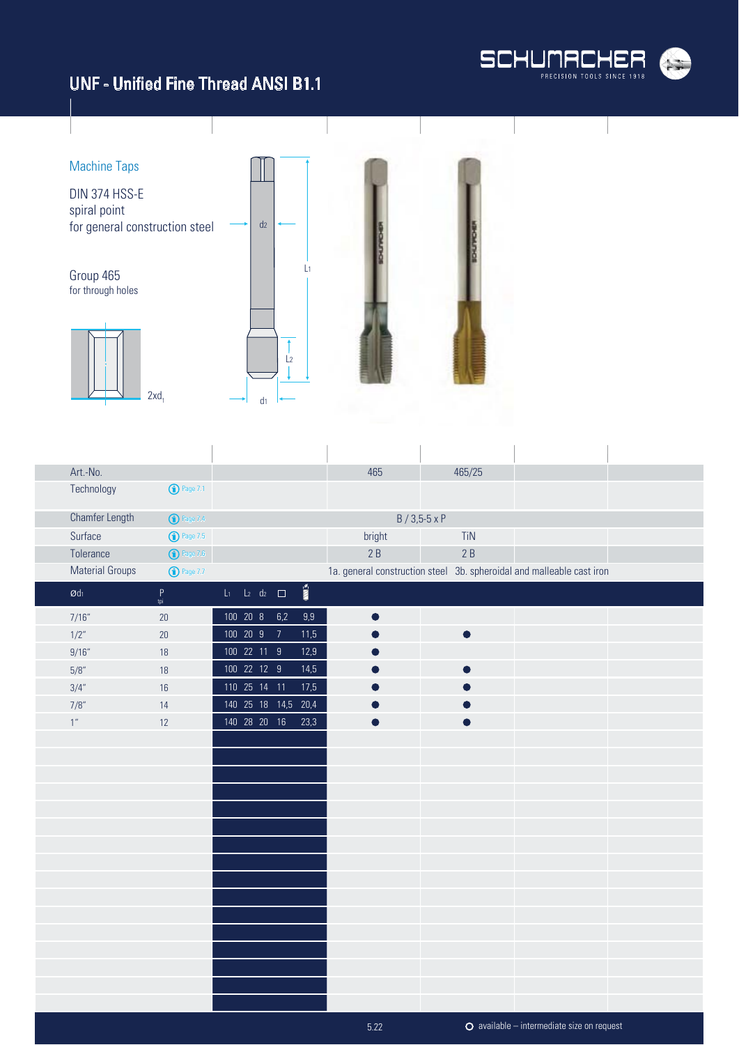



| Art.-No.               |                                                     |                          |              |                |                         |       | 465                                                                   |                        | 465/25    |                                              |  |
|------------------------|-----------------------------------------------------|--------------------------|--------------|----------------|-------------------------|-------|-----------------------------------------------------------------------|------------------------|-----------|----------------------------------------------|--|
| Technology             | <b>1</b> Page 7.1                                   |                          |              |                |                         |       |                                                                       |                        |           |                                              |  |
| Chamfer Length         | <sup>O</sup> Page 7.4                               |                          |              |                |                         |       |                                                                       | $B / 3,5 - 5 \times P$ |           |                                              |  |
| Surface                | <b>1</b> Page 7.5                                   |                          |              |                |                         |       | bright                                                                |                        | TiN       |                                              |  |
| Tolerance              | $\bigodot$ Page 7.6                                 |                          |              |                |                         |       | 2B                                                                    |                        | 2B        |                                              |  |
| <b>Material Groups</b> | <b>1</b> Page 7.7                                   |                          |              |                |                         |       | 1a. general construction steel 3b. spheroidal and malleable cast iron |                        |           |                                              |  |
| $\emptyset$ dı         | $\begin{bmatrix} P \\ \mathfrak{tpi} \end{bmatrix}$ | $L_1$ $L_2$ $d_2$ $\Box$ |              |                | $\overline{\mathbf{M}}$ |       |                                                                       |                        |           |                                              |  |
| 7/16''                 | 20                                                  |                          | 100 20 8     | 6,2            |                         | $9,9$ | $\bullet$                                                             |                        |           |                                              |  |
| 1/2"                   | $20\,$                                              |                          | 100 20 9     | $\overline{7}$ |                         | 11,5  |                                                                       |                        | $\bullet$ |                                              |  |
| 9/16''                 | 18                                                  |                          | 100 22 11 9  |                |                         | 12,9  |                                                                       |                        |           |                                              |  |
| 5/8''                  | 18                                                  |                          | 100 22 12 9  |                |                         | 14,5  |                                                                       |                        |           |                                              |  |
| 3/4"                   | 16                                                  |                          | 110 25 14 11 |                |                         | 17,5  |                                                                       |                        |           |                                              |  |
| 7/8"                   | 14                                                  |                          |              |                | 140 25 18 14,5 20,4     |       |                                                                       |                        |           |                                              |  |
| $1''$                  | 12                                                  |                          | 140 28 20 16 |                |                         | 23,3  |                                                                       |                        |           |                                              |  |
|                        |                                                     |                          |              |                |                         |       |                                                                       |                        |           |                                              |  |
|                        |                                                     |                          |              |                |                         |       |                                                                       |                        |           |                                              |  |
|                        |                                                     |                          |              |                |                         |       |                                                                       |                        |           |                                              |  |
|                        |                                                     |                          |              |                |                         |       |                                                                       |                        |           |                                              |  |
|                        |                                                     |                          |              |                |                         |       |                                                                       |                        |           |                                              |  |
|                        |                                                     |                          |              |                |                         |       |                                                                       |                        |           |                                              |  |
|                        |                                                     |                          |              |                |                         |       |                                                                       |                        |           |                                              |  |
|                        |                                                     |                          |              |                |                         |       |                                                                       |                        |           |                                              |  |
|                        |                                                     |                          |              |                |                         |       |                                                                       |                        |           |                                              |  |
|                        |                                                     |                          |              |                |                         |       |                                                                       |                        |           |                                              |  |
|                        |                                                     |                          |              |                |                         |       |                                                                       |                        |           |                                              |  |
|                        |                                                     |                          |              |                |                         |       |                                                                       |                        |           |                                              |  |
|                        |                                                     |                          |              |                |                         |       |                                                                       |                        |           |                                              |  |
|                        |                                                     |                          |              |                |                         |       |                                                                       |                        |           |                                              |  |
|                        |                                                     |                          |              |                |                         |       |                                                                       |                        |           |                                              |  |
|                        |                                                     |                          |              |                |                         |       |                                                                       |                        |           |                                              |  |
|                        |                                                     |                          |              |                |                         |       | 5.22                                                                  |                        |           | $O$ available – intermediate size on request |  |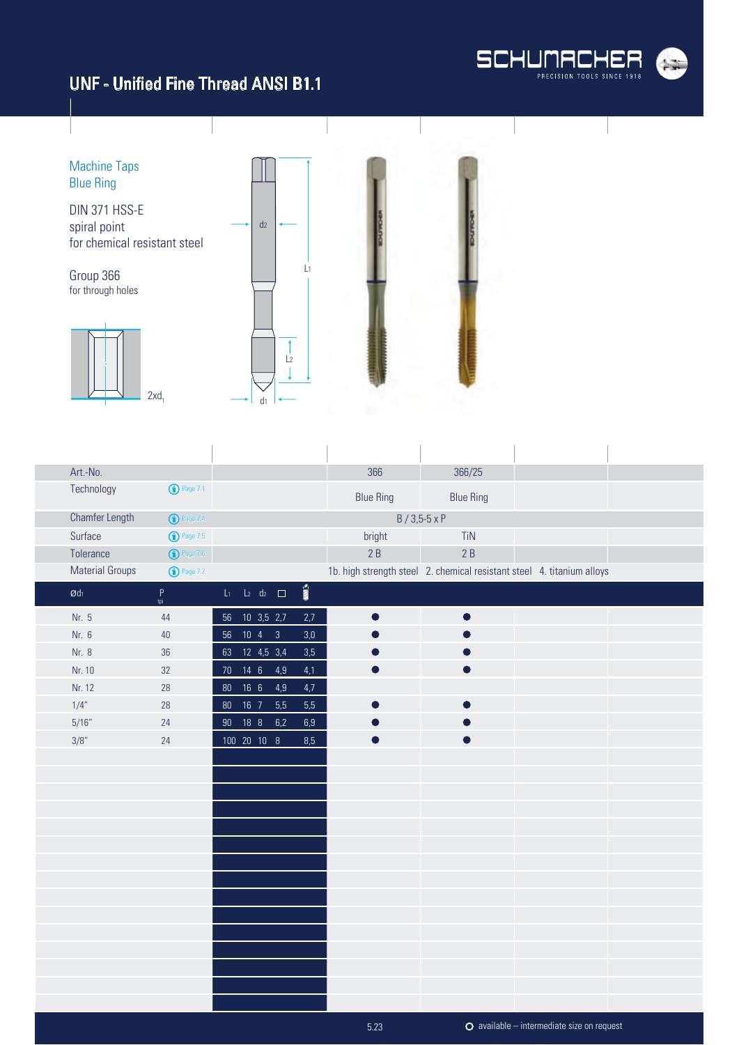

available – intermediate size on request

Machine Taps Blue Ring DIN 371 HSS-E  $d<sub>2</sub>$ spiral point for chemical resistant steel L1 Group 366 for through holes  $\overline{1}$  $\frac{1}{2}$ 1  $2xd_1$ d1

| Art.-No.               |                       |        |                          |     |                                 | 366                      | 366/25               |                                                                        |  |
|------------------------|-----------------------|--------|--------------------------|-----|---------------------------------|--------------------------|----------------------|------------------------------------------------------------------------|--|
| Technology             | <sup>1</sup> Page 7.1 |        |                          |     |                                 | <b>Blue Ring</b>         | <b>Blue Ring</b>     |                                                                        |  |
| Chamfer Length         | $\bigodot$ Page 7.4   |        |                          |     |                                 |                          | $B / 3,5-5 \times P$ |                                                                        |  |
| Surface                | <sup>D</sup> Page 7.5 |        |                          |     |                                 | bright                   | TiN                  |                                                                        |  |
| Tolerance              | $\bigodot$ Page 7.6   |        |                          |     |                                 | 2B                       | 2B                   |                                                                        |  |
| <b>Material Groups</b> | <b>1</b> Page 7.7     |        |                          |     |                                 |                          |                      | 1b. high strength steel 2. chemical resistant steel 4. titanium alloys |  |
| $\emptyset$ dı         | $P$ <sub>tpi</sub>    |        | $L_1$ $L_2$ $d_2$ $\Box$ |     | $\overline{\mathbb{M}}^{\circ}$ |                          |                      |                                                                        |  |
| Nr. 5                  | 44                    | 56     | 10 3,5 2,7               |     | 2,7                             |                          |                      |                                                                        |  |
| Nr. 6                  | 40                    | $56\,$ | $10 \quad 4 \qquad 3$    |     | 3,0                             |                          |                      |                                                                        |  |
| Nr. 8                  | 36                    |        | 63 12 4,5 3,4            |     | 3,5                             |                          |                      |                                                                        |  |
| Nr. 10                 | 32                    |        | 70 14 6                  | 4,9 | 4,1                             |                          |                      |                                                                        |  |
| Nr. 12                 | $28\,$                | $80\,$ | $\overline{16}$ 6        | 4,9 | 4,7                             |                          |                      |                                                                        |  |
| 1/4"                   | $28\,$                |        | 80  16  7  5,5           |     | 5,5                             |                          |                      |                                                                        |  |
| 5/16''                 | 24                    |        | 90 18 8                  | 6,2 | 6,9                             |                          |                      |                                                                        |  |
| 3/8"                   | 24                    |        | 100 20 10 8              |     | 8,5                             | $\overline{\phantom{a}}$ | D                    |                                                                        |  |
|                        |                       |        |                          |     |                                 |                          |                      |                                                                        |  |
|                        |                       |        |                          |     |                                 |                          |                      |                                                                        |  |
|                        |                       |        |                          |     |                                 |                          |                      |                                                                        |  |
|                        |                       |        |                          |     |                                 |                          |                      |                                                                        |  |
|                        |                       |        |                          |     |                                 |                          |                      |                                                                        |  |
|                        |                       |        |                          |     |                                 |                          |                      |                                                                        |  |
|                        |                       |        |                          |     |                                 |                          |                      |                                                                        |  |
|                        |                       |        |                          |     |                                 |                          |                      |                                                                        |  |
|                        |                       |        |                          |     |                                 |                          |                      |                                                                        |  |
|                        |                       |        |                          |     |                                 |                          |                      |                                                                        |  |
|                        |                       |        |                          |     |                                 |                          |                      |                                                                        |  |
|                        |                       |        |                          |     |                                 |                          |                      |                                                                        |  |
|                        |                       |        |                          |     |                                 |                          |                      |                                                                        |  |
|                        |                       |        |                          |     |                                 |                          |                      |                                                                        |  |
|                        |                       |        |                          |     |                                 |                          |                      |                                                                        |  |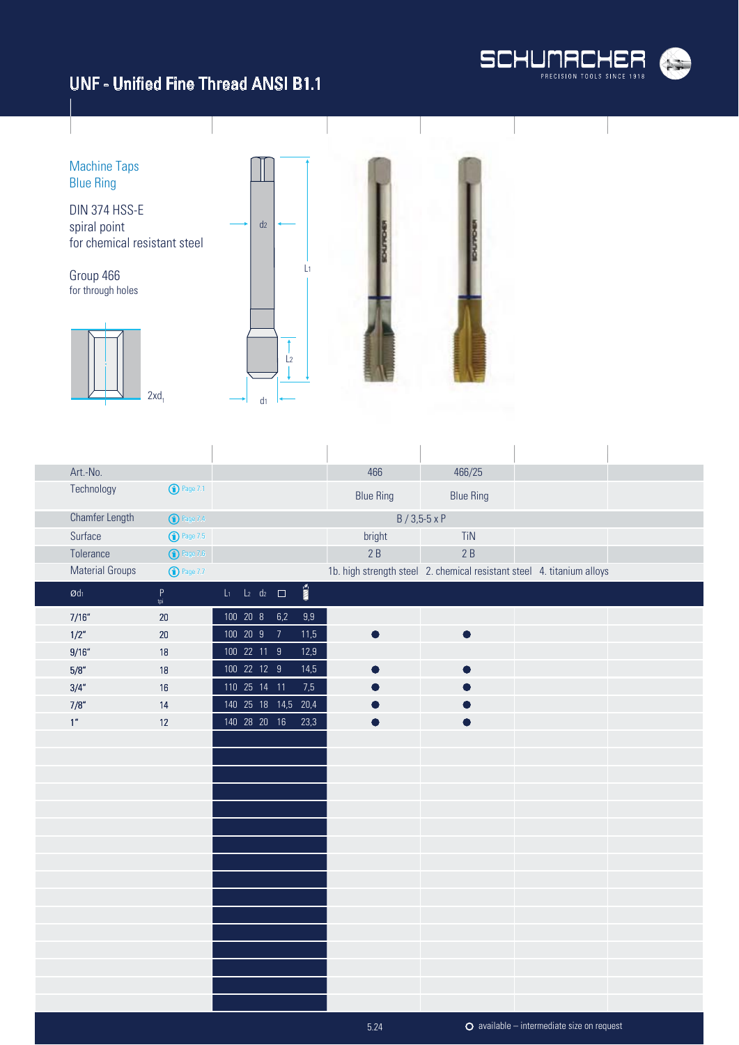



| Art.-No.               |                       |                             |                |                         | 466              | 466/25                                                                 |                                                    |  |
|------------------------|-----------------------|-----------------------------|----------------|-------------------------|------------------|------------------------------------------------------------------------|----------------------------------------------------|--|
| Technology             | <sup>1</sup> Page 7.1 |                             |                |                         | <b>Blue Ring</b> | <b>Blue Ring</b>                                                       |                                                    |  |
| <b>Chamfer Length</b>  | $\bigodot$ Page 7.4   |                             |                |                         |                  | $B / 3,5-5 \times P$                                                   |                                                    |  |
| Surface                | <sup>1</sup> Page 7.5 |                             |                |                         | bright           | TiN                                                                    |                                                    |  |
| Tolerance              | $\bigodot$ Page 7.6   |                             |                |                         | 2B               | 2B                                                                     |                                                    |  |
| <b>Material Groups</b> | <b>1</b> Page 7.7     |                             |                |                         |                  | 1b. high strength steel 2. chemical resistant steel 4. titanium alloys |                                                    |  |
| $\emptyset$ dı         | $P$ <sub>tpi</sub>    | $L_1$ $L_2$ $d_2$ $\square$ |                | $\overline{\text{min}}$ |                  |                                                                        |                                                    |  |
| 7/16''                 | $20\,$                | 100 20 8 6,2                |                | $9,9$                   |                  |                                                                        |                                                    |  |
| 1/2"                   | $20\,$                | 100 20 9                    | $\overline{7}$ | 11,5                    |                  | D                                                                      |                                                    |  |
| 9/16''                 | $18$                  | 100 22 11 9                 |                | 12,9                    |                  |                                                                        |                                                    |  |
| $5/8''$                | $18$                  | 100 22 12 9                 |                | 14,5                    |                  |                                                                        |                                                    |  |
| 3/4''                  | 16                    | 110 25 14 11                |                | 7,5                     |                  |                                                                        |                                                    |  |
| 7/8''                  | 14                    | 140 25 18 14,5 20,4         |                |                         |                  |                                                                        |                                                    |  |
| 1 <sup>n</sup>         | 12                    | 140 28 20 16                |                | 23,3                    |                  |                                                                        |                                                    |  |
|                        |                       |                             |                |                         |                  |                                                                        |                                                    |  |
|                        |                       |                             |                |                         |                  |                                                                        |                                                    |  |
|                        |                       |                             |                |                         |                  |                                                                        |                                                    |  |
|                        |                       |                             |                |                         |                  |                                                                        |                                                    |  |
|                        |                       |                             |                |                         |                  |                                                                        |                                                    |  |
|                        |                       |                             |                |                         |                  |                                                                        |                                                    |  |
|                        |                       |                             |                |                         |                  |                                                                        |                                                    |  |
|                        |                       |                             |                |                         |                  |                                                                        |                                                    |  |
|                        |                       |                             |                |                         |                  |                                                                        |                                                    |  |
|                        |                       |                             |                |                         |                  |                                                                        |                                                    |  |
|                        |                       |                             |                |                         |                  |                                                                        |                                                    |  |
|                        |                       |                             |                |                         |                  |                                                                        |                                                    |  |
|                        |                       |                             |                |                         |                  |                                                                        |                                                    |  |
|                        |                       |                             |                |                         |                  |                                                                        |                                                    |  |
|                        |                       |                             |                |                         |                  |                                                                        |                                                    |  |
|                        |                       |                             |                |                         |                  |                                                                        |                                                    |  |
|                        |                       |                             |                |                         | 5.24             |                                                                        | $\bullet$ available – intermediate size on request |  |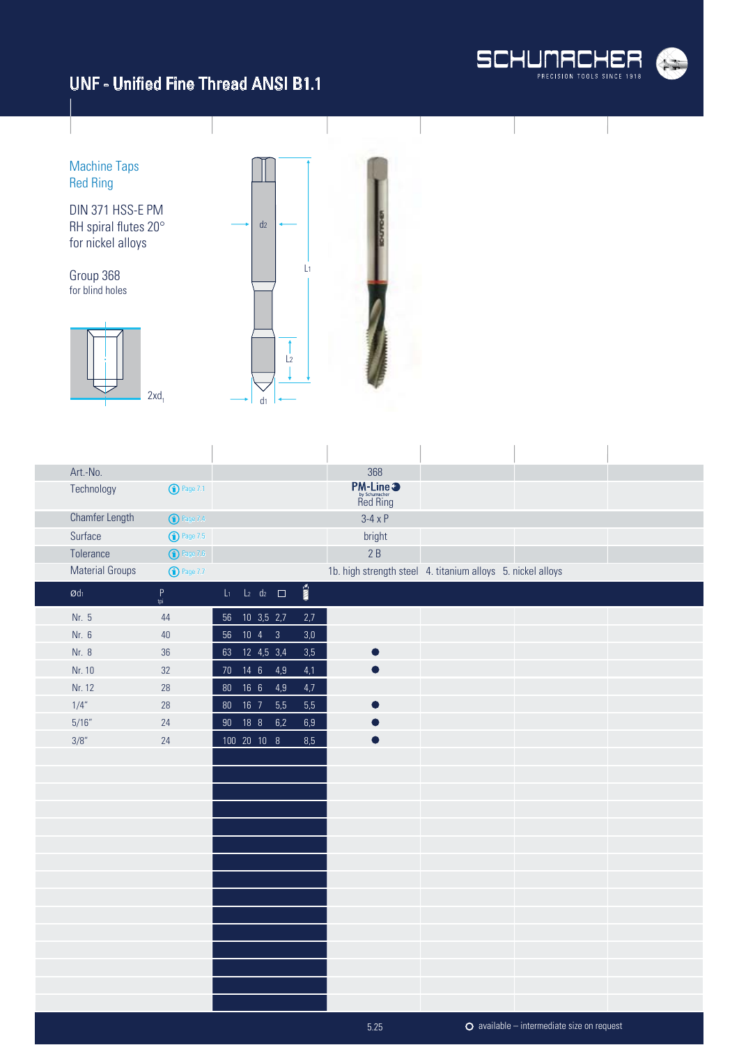

Machine Taps Red Ring

DIN 371 HSS-E PM RH spiral flutes 20° for nickel alloys

Group 368 for blind holes





| Art.-No.               |                                                            |        |                          |     |                          | 368                                                         |                                                    |  |
|------------------------|------------------------------------------------------------|--------|--------------------------|-----|--------------------------|-------------------------------------------------------------|----------------------------------------------------|--|
| Technology             | <b>1</b> Page 7.1                                          |        |                          |     |                          | <b>PM-Line 3</b><br>by Schumacher<br>Red Ring               |                                                    |  |
| <b>Chamfer Length</b>  | <b>1</b> Page 7.4                                          |        |                          |     |                          | $3-4 \times P$                                              |                                                    |  |
| Surface                | <b>1</b> Page 7.5                                          |        |                          |     |                          | bright                                                      |                                                    |  |
| Tolerance              | $\bigodot$ Page 7.6                                        |        |                          |     |                          | 2B                                                          |                                                    |  |
| <b>Material Groups</b> | $\bigodot$ Page 7.7                                        |        |                          |     |                          | 1b. high strength steel 4. titanium alloys 5. nickel alloys |                                                    |  |
| $\emptyset$ dı         | $\mathsf{P}% _{0}\left( \mathsf{P}_{0}\right) ^{T}$<br>tpi |        | $L_1$ $L_2$ $d_2$ $\Box$ |     | $\overline{\text{nm}}$ s |                                                             |                                                    |  |
| Nr. 5                  | $44$                                                       | 56     | $10$ 3,5 2,7             |     | 2,7                      |                                                             |                                                    |  |
| Nr. 6                  | $40\,$                                                     | $56\,$ | $10 \quad 4 \qquad 3$    |     | $3,\!0$                  |                                                             |                                                    |  |
| Nr. 8                  | $36\,$                                                     | 63     | 12 4,5 3,4               |     | 3,5                      |                                                             |                                                    |  |
| Nr. 10                 | 32                                                         | $70$   | $14 \quad 6$             | 4,9 | 4,1                      |                                                             |                                                    |  |
| Nr. 12                 | 28                                                         | $80\,$ | 16 <sub>6</sub>          | 4,9 | 4,7                      |                                                             |                                                    |  |
| 1/4"                   | 28                                                         | 80     | $16$ 7                   | 5,5 | 5,5                      |                                                             |                                                    |  |
| 5/16''                 | 24                                                         | $90\,$ | 18 8                     | 6,2 | $6,9$                    |                                                             |                                                    |  |
| 3/8"                   | 24                                                         |        | 100 20 10 8              |     | 8,5                      |                                                             |                                                    |  |
|                        |                                                            |        |                          |     |                          |                                                             |                                                    |  |
|                        |                                                            |        |                          |     |                          |                                                             |                                                    |  |
|                        |                                                            |        |                          |     |                          |                                                             |                                                    |  |
|                        |                                                            |        |                          |     |                          |                                                             |                                                    |  |
|                        |                                                            |        |                          |     |                          |                                                             |                                                    |  |
|                        |                                                            |        |                          |     |                          |                                                             |                                                    |  |
|                        |                                                            |        |                          |     |                          |                                                             |                                                    |  |
|                        |                                                            |        |                          |     |                          |                                                             |                                                    |  |
|                        |                                                            |        |                          |     |                          |                                                             |                                                    |  |
|                        |                                                            |        |                          |     |                          |                                                             |                                                    |  |
|                        |                                                            |        |                          |     |                          |                                                             |                                                    |  |
|                        |                                                            |        |                          |     |                          |                                                             |                                                    |  |
|                        |                                                            |        |                          |     |                          |                                                             |                                                    |  |
|                        |                                                            |        |                          |     |                          |                                                             |                                                    |  |
|                        |                                                            |        |                          |     |                          |                                                             |                                                    |  |
|                        |                                                            |        |                          |     |                          | 5.25                                                        | $\bullet$ available – intermediate size on request |  |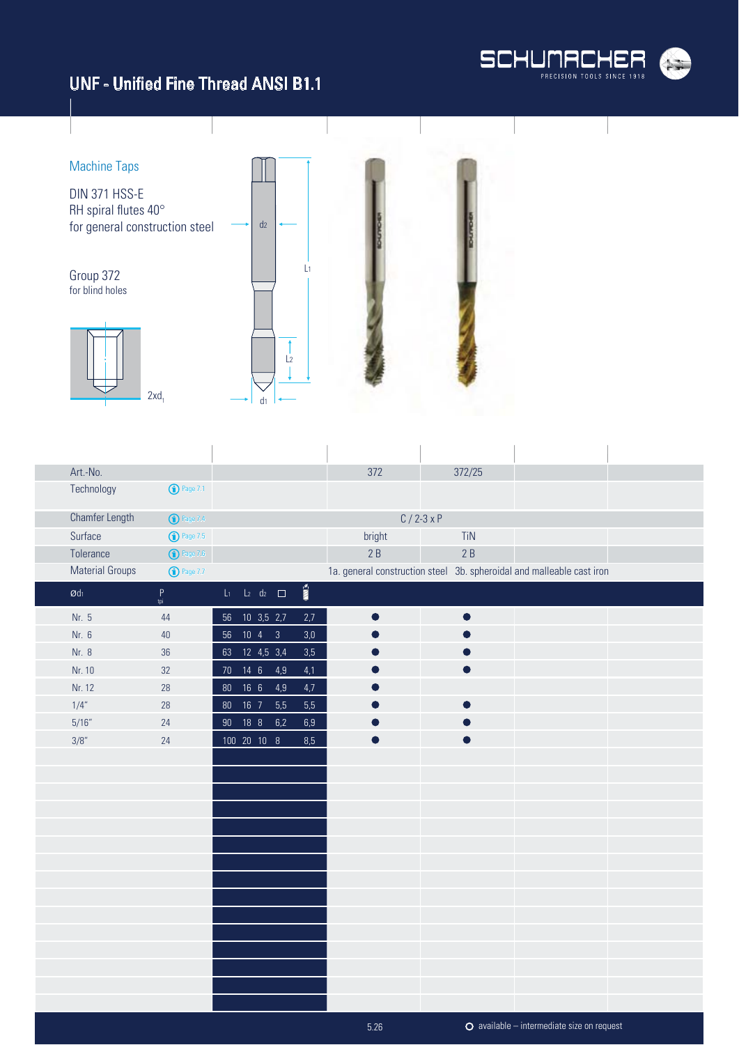



| Art.-No.                   |                                             |                             |                       | 372    | 372/25                                                                |  |
|----------------------------|---------------------------------------------|-----------------------------|-----------------------|--------|-----------------------------------------------------------------------|--|
|                            | Technology<br><b>1</b> Page 7.1             |                             |                       |        |                                                                       |  |
|                            | Chamfer Length<br><b>1</b> Page 7.4         |                             |                       |        | $C / 2 - 3xP$                                                         |  |
| Surface                    | <b>1</b> Page 7.5                           |                             |                       | bright | <b>TiN</b>                                                            |  |
| Tolerance                  | $\bigodot$ Page 7.6                         |                             |                       | 2B     | 2B                                                                    |  |
|                            | <b>Material Groups</b><br><b>1</b> Page 7.7 |                             |                       |        | 1a. general construction steel 3b. spheroidal and malleable cast iron |  |
| $\boldsymbol{\text{Qd}}_1$ | $\mathsf P$<br>tpi                          | $L_1$ $L_2$ $d_2$ $\Box$    | $\overline{\text{m}}$ |        |                                                                       |  |
| Nr. 5                      | 44                                          | 56 10 3,5 2,7               | 2,7                   |        |                                                                       |  |
| Nr. 6                      | 40                                          | $10 \quad 4 \qquad 3$<br>56 | 3,0                   |        |                                                                       |  |
| Nr. 8                      | $36\,$                                      | 63 12 4,5 3,4               | 3,5                   |        |                                                                       |  |
| Nr. 10                     | 32                                          | 70  14  6  4,9              | 4,1                   |        |                                                                       |  |
| Nr. 12                     | 28                                          | 16 <sub>6</sub><br>$80\,$   | 4,9<br>4,7            |        |                                                                       |  |
| 1/4"                       | 28                                          | 80  16  7                   | 5,5<br>5,5            |        |                                                                       |  |
| 5/16''                     | 24                                          | 18 8<br>$90\,$              | 6,2<br>$6,9$          |        |                                                                       |  |
| 3/8"                       | 24                                          | 100 20 10 8                 | 8,5                   |        |                                                                       |  |
|                            |                                             |                             |                       |        |                                                                       |  |
|                            |                                             |                             |                       |        |                                                                       |  |
|                            |                                             |                             |                       |        |                                                                       |  |
|                            |                                             |                             |                       |        |                                                                       |  |
|                            |                                             |                             |                       |        |                                                                       |  |
|                            |                                             |                             |                       |        |                                                                       |  |
|                            |                                             |                             |                       |        |                                                                       |  |
|                            |                                             |                             |                       |        |                                                                       |  |
|                            |                                             |                             |                       |        |                                                                       |  |
|                            |                                             |                             |                       |        |                                                                       |  |
|                            |                                             |                             |                       |        |                                                                       |  |
|                            |                                             |                             |                       |        |                                                                       |  |
|                            |                                             |                             |                       |        |                                                                       |  |
|                            |                                             |                             |                       |        |                                                                       |  |
|                            |                                             |                             |                       |        |                                                                       |  |

5.26

available – intermediate size on request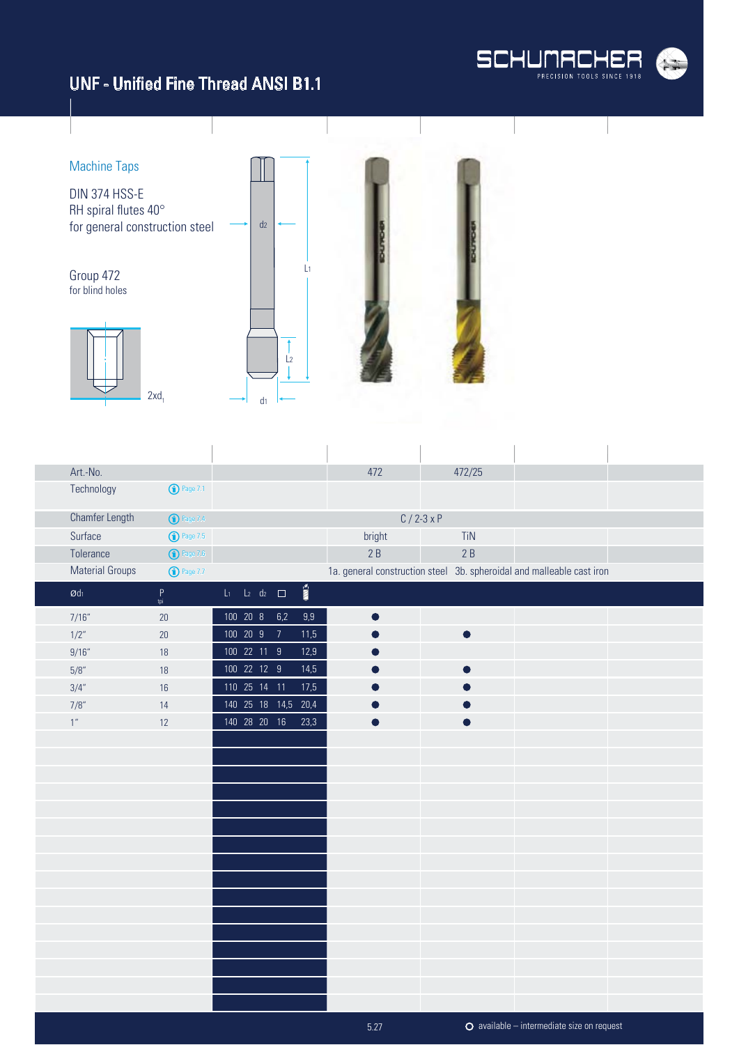



| Art.-No.                      |                       |              |                          |                          | 472       | 472/25        |                                                                       |  |
|-------------------------------|-----------------------|--------------|--------------------------|--------------------------|-----------|---------------|-----------------------------------------------------------------------|--|
| Technology                    | <b>1</b> Page 7.1     |              |                          |                          |           |               |                                                                       |  |
| <b>Chamfer Length</b>         | <sup>1</sup> Page 7.4 |              |                          |                          |           | $C / 2 - 3xP$ |                                                                       |  |
| Surface                       | $\bigodot$ Page 7.5   |              |                          |                          | bright    | TiN           |                                                                       |  |
| Tolerance                     | $\bigodot$ Page 7.6   |              |                          |                          | 2B        | 2B            |                                                                       |  |
| <b>Material Groups</b>        | <b>1</b> Page 7.7     |              |                          |                          |           |               | 1a. general construction steel 3b. spheroidal and malleable cast iron |  |
| $\boldsymbol{\mathcal{O}}$ dı | $P$ <sub>tpi</sub>    |              | $L_1$ $L_2$ $d_2$ $\Box$ | $\overline{\text{nm}}$ s |           |               |                                                                       |  |
| 7/16''                        | 20                    | 100 20 8 6,2 |                          | 9,9                      | $\bullet$ |               |                                                                       |  |
| 1/2"                          | 20                    | 100 20 9     | $\overline{7}$           | 11,5                     |           | $\bullet$     |                                                                       |  |
| 9/16''                        | 18                    | 100 22 11 9  |                          | 12,9                     |           |               |                                                                       |  |
| 5/8''                         | 18                    | 100 22 12 9  |                          | 14,5                     |           |               |                                                                       |  |
| 3/4"                          | 16                    | 110 25 14 11 |                          | 17,5                     |           |               |                                                                       |  |
| 7/8"                          | 14                    |              | 140  25  18  14,5  20,4  |                          |           |               |                                                                       |  |
| $1^{\prime\prime}$            | 12                    | 140 28 20 16 |                          | 23,3                     |           |               |                                                                       |  |
|                               |                       |              |                          |                          |           |               |                                                                       |  |
|                               |                       |              |                          |                          |           |               |                                                                       |  |
|                               |                       |              |                          |                          |           |               |                                                                       |  |
|                               |                       |              |                          |                          |           |               |                                                                       |  |
|                               |                       |              |                          |                          |           |               |                                                                       |  |
|                               |                       |              |                          |                          |           |               |                                                                       |  |
|                               |                       |              |                          |                          |           |               |                                                                       |  |
|                               |                       |              |                          |                          |           |               |                                                                       |  |
|                               |                       |              |                          |                          |           |               |                                                                       |  |
|                               |                       |              |                          |                          |           |               |                                                                       |  |
|                               |                       |              |                          |                          |           |               |                                                                       |  |
|                               |                       |              |                          |                          |           |               |                                                                       |  |
|                               |                       |              |                          |                          |           |               |                                                                       |  |
|                               |                       |              |                          |                          |           |               |                                                                       |  |
|                               |                       |              |                          |                          |           |               |                                                                       |  |
|                               |                       |              |                          |                          |           |               |                                                                       |  |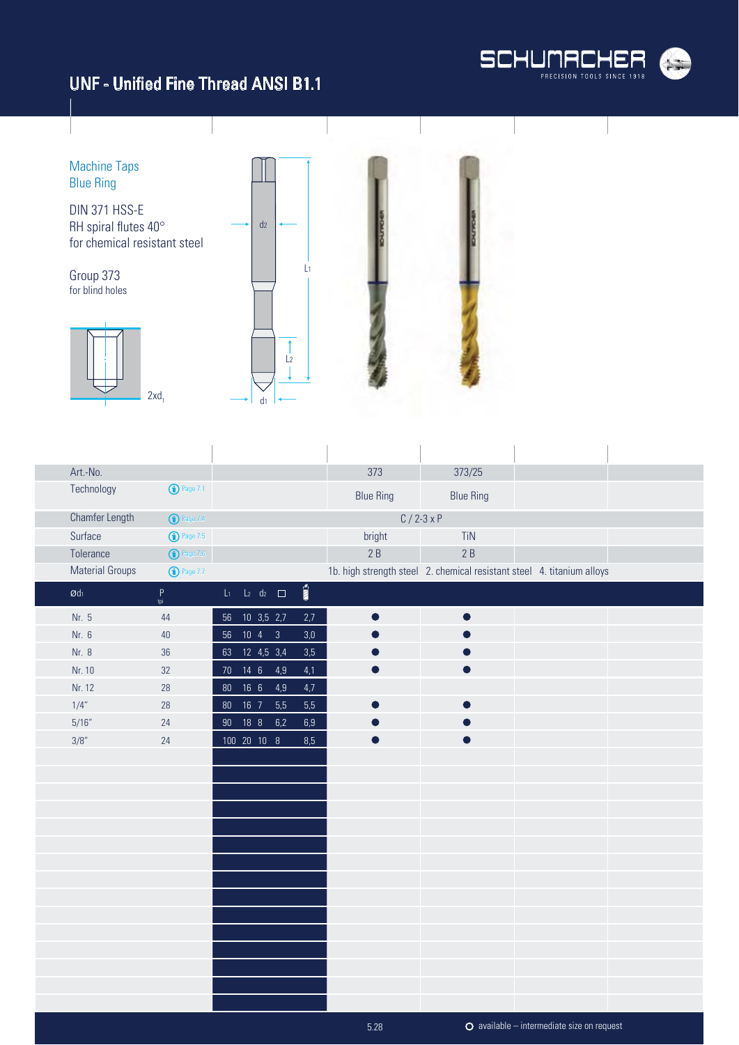

Machine Taps Blue Ring DIN 371 HSS-E RH spiral flutes 40°  $d<sub>2</sub>$ for chemical resistant steel L1 Group 373 for blind holes  $\overline{1}$  $\frac{1}{2}$ 1  $2xd_1$ d1

| Art.-No.                      |                     |        |                |                          |                       | 373                                                                    | 373/25           |  |
|-------------------------------|---------------------|--------|----------------|--------------------------|-----------------------|------------------------------------------------------------------------|------------------|--|
| Technology                    | <b>1</b> Page 7.1   |        |                |                          |                       | <b>Blue Ring</b>                                                       | <b>Blue Ring</b> |  |
| Chamfer Length                | <b>1</b> Page 7.4   |        |                |                          |                       |                                                                        | $C / 2 - 3x P$   |  |
| Surface                       | $\bigodot$ Page 7.5 |        |                |                          |                       | bright                                                                 | TiN              |  |
| Tolerance                     | $\bigodot$ Page 7.6 |        |                |                          |                       | 2B                                                                     | 2B               |  |
| <b>Material Groups</b>        | <b>1</b> Page 7.7   |        |                |                          |                       | 1b. high strength steel 2. chemical resistant steel 4. titanium alloys |                  |  |
| $\boldsymbol{\mathcal{O}}$ dı | $P$ <sub>tpi</sub>  |        |                | $L_1$ $L_2$ $d_2$ $\Box$ | $\sum_{i=1}^{\infty}$ |                                                                        |                  |  |
| Nr. 5                         | 44                  |        | 56 10 3,5 2,7  |                          | 2,7                   | $\bullet$                                                              | $\bullet$        |  |
| Nr. 6                         | $40\,$              | 56     | $10 \t 4 \t 3$ |                          | $3,0$                 |                                                                        |                  |  |
| Nr. 8                         | 36                  |        | 63 12 4,5 3,4  |                          | 3,5                   |                                                                        |                  |  |
| Nr. 10                        | 32                  |        | 70  14  6  4,9 |                          | 4,1                   |                                                                        |                  |  |
| Nr. 12                        | 28                  | $80\,$ | 166            | 4,9                      | 4,7                   |                                                                        |                  |  |
| 1/4"                          | 28                  | $80\,$ | $16$ 7         | 5,5                      | 5,5                   |                                                                        |                  |  |
| 5/16''                        | 24                  | $90\,$ | 188            | 6,2                      | $6,9$                 |                                                                        |                  |  |
| 3/8"                          | 24                  |        | 100 20 10 8    |                          | 8,5                   |                                                                        |                  |  |
|                               |                     |        |                |                          |                       |                                                                        |                  |  |
|                               |                     |        |                |                          |                       |                                                                        |                  |  |
|                               |                     |        |                |                          |                       |                                                                        |                  |  |
|                               |                     |        |                |                          |                       |                                                                        |                  |  |
|                               |                     |        |                |                          |                       |                                                                        |                  |  |
|                               |                     |        |                |                          |                       |                                                                        |                  |  |
|                               |                     |        |                |                          |                       |                                                                        |                  |  |
|                               |                     |        |                |                          |                       |                                                                        |                  |  |
|                               |                     |        |                |                          |                       |                                                                        |                  |  |
|                               |                     |        |                |                          |                       |                                                                        |                  |  |
|                               |                     |        |                |                          |                       |                                                                        |                  |  |
|                               |                     |        |                |                          |                       |                                                                        |                  |  |
|                               |                     |        |                |                          |                       |                                                                        |                  |  |
|                               |                     |        |                |                          |                       |                                                                        |                  |  |
|                               |                     |        |                |                          |                       |                                                                        |                  |  |

available – intermediate size on request